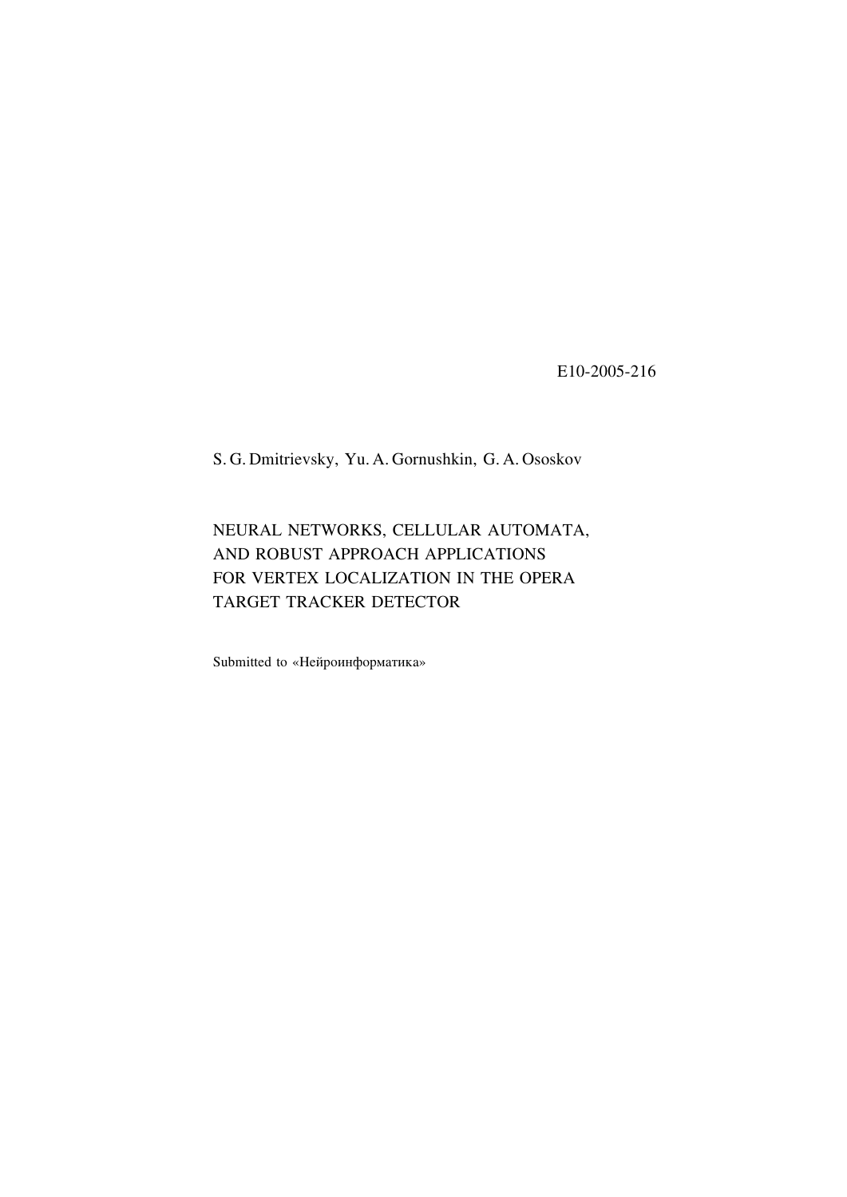E10-2005-216

S. G. Dmitrievsky, Yu. A. Gornushkin, G. A. Ososkov

NEURAL NETWORKS, CELLULAR AUTOMATA, AND ROBUST APPROACH APPLICATIONS FOR VERTEX LOCALIZATION IN THE OPERA TARGET TRACKER DETECTOR

Submitted to «Нейроинформатика»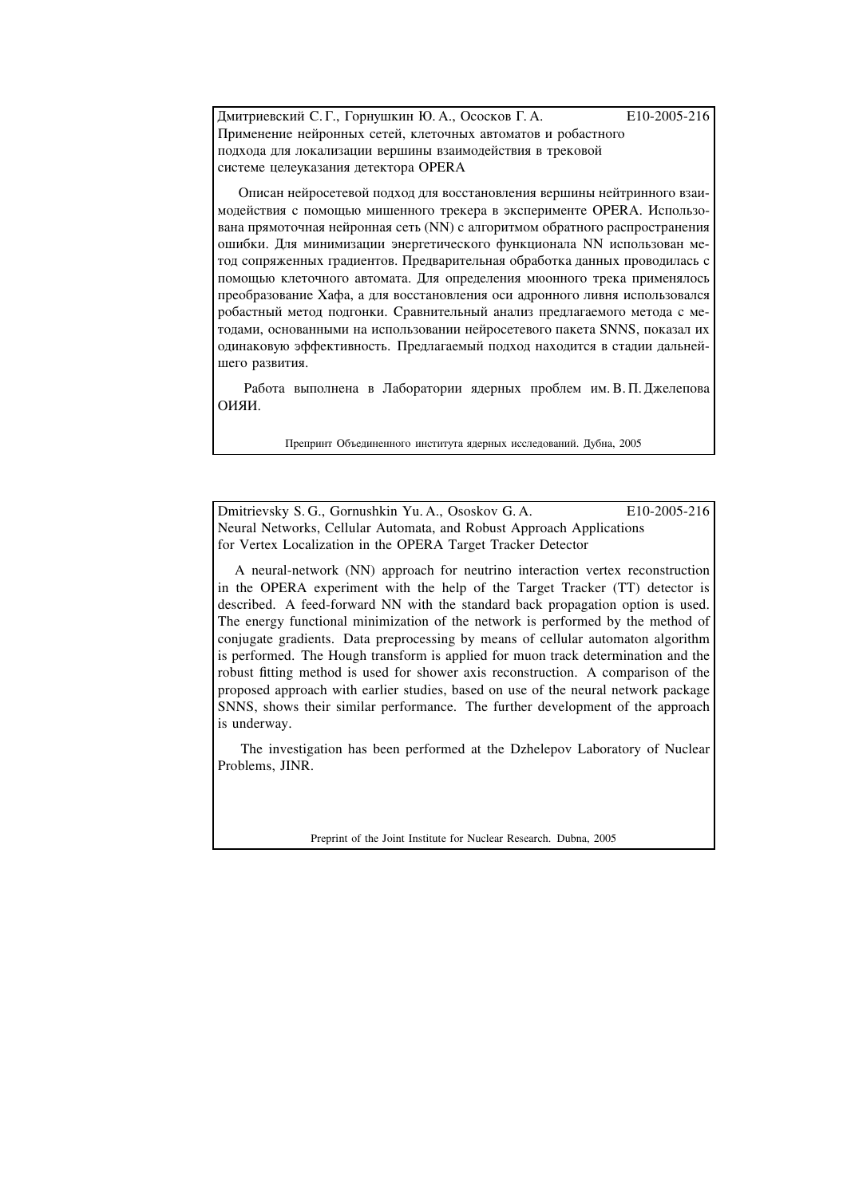Дмитриевский С.Г., Горнушкин Ю. А., Ососков Г. А. В10-2005-216 Применение нейронных сетей, клеточных автоматов и робастного подхода для локализации вершины взаимодействия в трековой системе целеуказания детектора OPERA

Описан нейросетевой подход для восстановления вершины нейтринного взаимодействия с помощью мишенного трекера в эксперименте OPERA. Использована прямоточная нейронная сеть (NN) с алгоритмом обратного распространения ошибки. Шля минимизации энергетического функционала NN использован метод сопряженных градиентов. Предварительная обработка данных проводилась с помощью клеточного автомата. Для определения мюонного трека применялось преобразование Хафа, а для восстановления оси адронного ливня использовался робастный метод подгонки. Сравнительный анализ предлагаемого метода с методами, основанными на использовании нейросетевого пакета SNNS, показал их одинаковую эффективность. Предлагаемый подход находится в стадии дальнейшего развития.

Работа выполнена в Лаборатории ядерных проблем им. В. П. Джелепова ОИЯИ.

Препринт Объединенного института ядерных исследований. Дубна, 2005

Dmitrievsky S. G., Gornushkin Yu. A., Ososkov G. A. E10-2005-216 Neural Networks, Cellular Automata, and Robust Approach Applications for Vertex Localization in the OPERA Target Tracker Detector

A neural-network (NN) approach for neutrino interaction vertex reconstruction in the OPERA experiment with the help of the Target Tracker (TT) detector is described. A feed-forward NN with the standard back propagation option is used. The energy functional minimization of the network is performed by the method of conjugate gradients. Data preprocessing by means of cellular automaton algorithm is performed. The Hough transform is applied for muon track determination and the robust fitting method is used for shower axis reconstruction. A comparison of the proposed approach with earlier studies, based on use of the neural network package SNNS, shows their similar performance. The further development of the approach is underway.

The investigation has been performed at the Dzhelepov Laboratory of Nuclear Problems, JINR.

Preprint of the Joint Institute for Nuclear Research. Dubna, 2005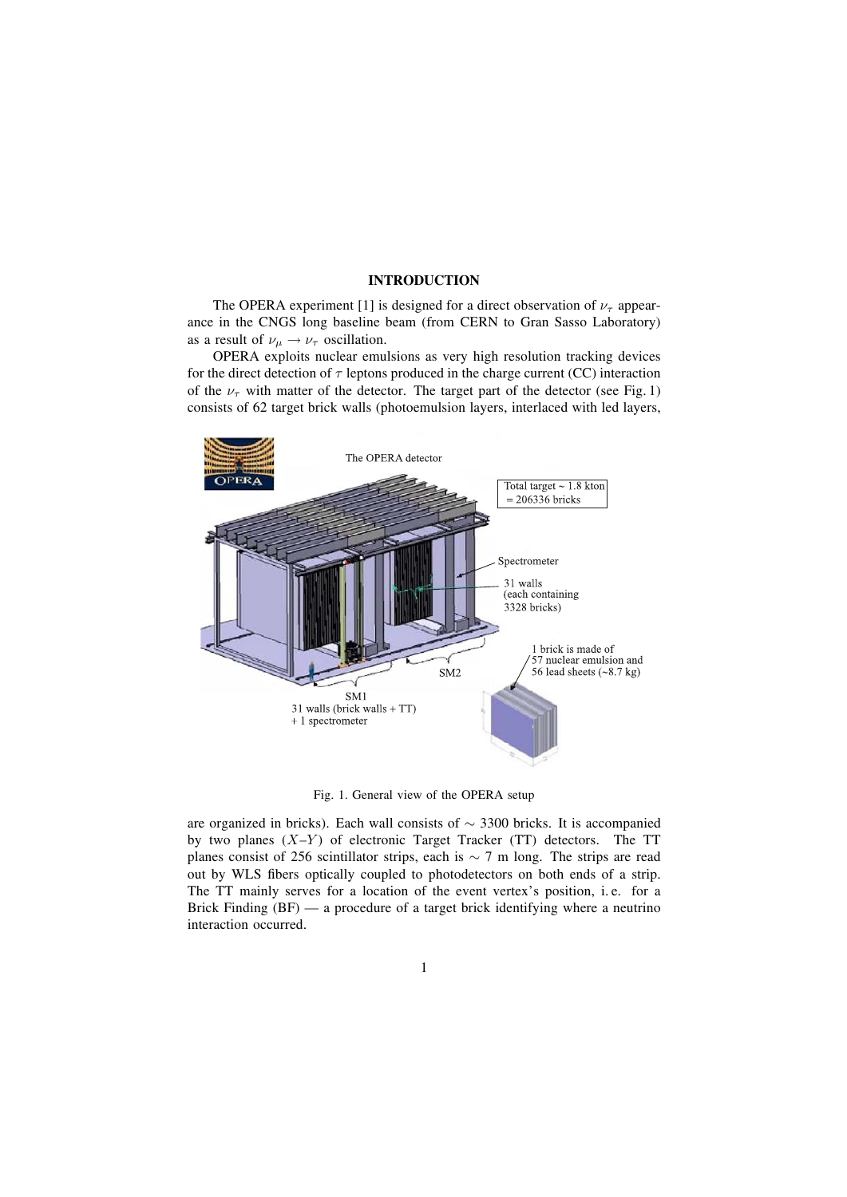## **INTRODUCTION**

The OPERA experiment [1] is designed for a direct observation of  $\nu_{\tau}$  appearance in the CNGS long baseline beam (from CERN to Gran Sasso Laboratory) as a result of  $\nu_\mu \rightarrow \nu_\tau$  oscillation.

OPERA exploits nuclear emulsions as very high resolution tracking devices for the direct detection of  $\tau$  leptons produced in the charge current (CC) interaction of the  $\nu_{\tau}$  with matter of the detector. The target part of the detector (see Fig. 1) consists of 62 target brick walls (photoemulsion layers, interlaced with led layers,



Fig. 1. General view of the OPERA setup

are organized in bricks). Each wall consists of ∼ 3300 bricks. It is accompanied by two planes  $(X-Y)$  of electronic Target Tracker (TT) detectors. The TT planes consist of 256 scintillator strips, each is  $\sim$  7 m long. The strips are read out by WLS fibers optically coupled to photodetectors on both ends of a strip. The TT mainly serves for a location of the event vertex's position, i. e. for a Brick Finding  $(BF)$   $-$  a procedure of a target brick identifying where a neutrino interaction occurred.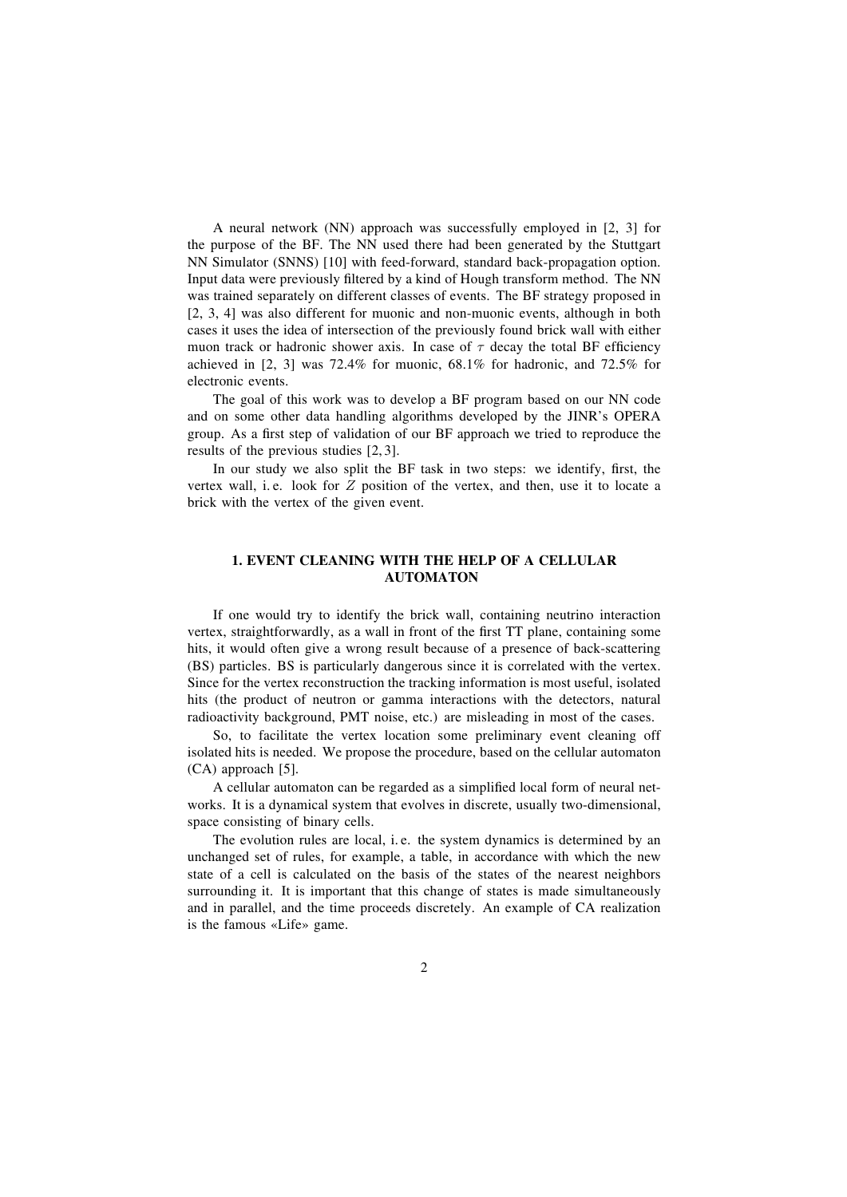A neural network (NN) approach was successfully employed in [2, 3] for the purpose of the BF. The NN used there had been generated by the Stuttgart NN Simulator (SNNS) [10] with feed-forward, standard back-propagation option. Input data were previously filtered by a kind of Hough transform method. The NN was trained separately on different classes of events. The BF strategy proposed in [2, 3, 4] was also different for muonic and non-muonic events, although in both cases it uses the idea of intersection of the previously found brick wall with either muon track or hadronic shower axis. In case of  $\tau$  decay the total BF efficiency achieved in [2, 3] was 72.4% for muonic, 68.1% for hadronic, and 72.5% for electronic events.

The goal of this work was to develop a BF program based on our NN code and on some other data handling algorithms developed by the JINR's OPERA group. As a first step of validation of our BF approach we tried to reproduce the results of the previous studies [2,3].

In our study we also split the BF task in two steps: we identify, first, the vertex wall, i.e. look for  $Z$  position of the vertex, and then, use it to locate a brick with the vertex of the given event.

# **1. EVENT CLEANING WITH THE HELP OF A CELLULAR AUTOMATON**

If one would try to identify the brick wall, containing neutrino interaction vertex, straightforwardly, as a wall in front of the first TT plane, containing some hits, it would often give a wrong result because of a presence of back-scattering (BS) particles. BS is particularly dangerous since it is correlated with the vertex. Since for the vertex reconstruction the tracking information is most useful, isolated hits (the product of neutron or gamma interactions with the detectors, natural radioactivity background, PMT noise, etc.) are misleading in most of the cases.

So, to facilitate the vertex location some preliminary event cleaning off isolated hits is needed. We propose the procedure, based on the cellular automaton (CA) approach [5].

A cellular automaton can be regarded as a simplified local form of neural networks. It is a dynamical system that evolves in discrete, usually two-dimensional, space consisting of binary cells.

The evolution rules are local, i. e. the system dynamics is determined by an unchanged set of rules, for example, a table, in accordance with which the new state of a cell is calculated on the basis of the states of the nearest neighbors surrounding it. It is important that this change of states is made simultaneously and in parallel, and the time proceeds discretely. An example of CA realization is the famous «Life» game.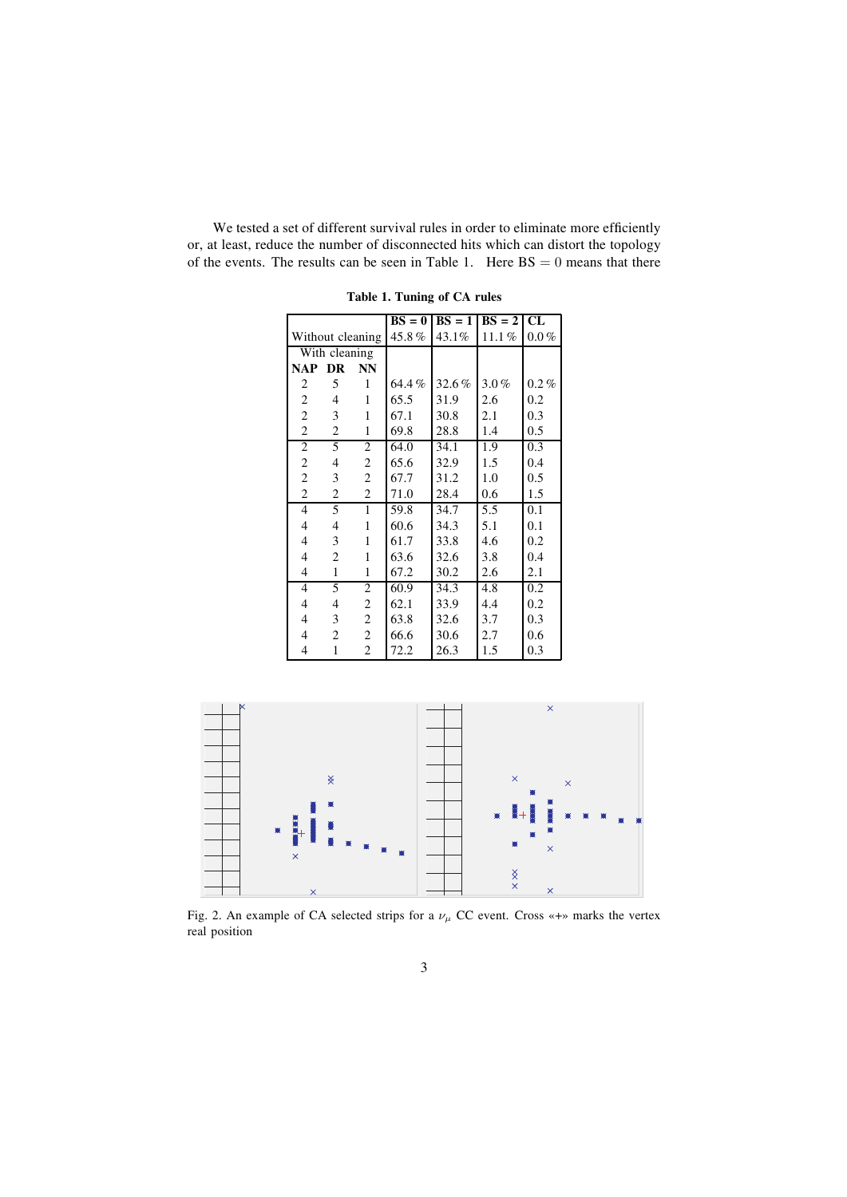We tested a set of different survival rules in order to eliminate more efficiently or, at least, reduce the number of disconnected hits which can distort the topology of the events. The results can be seen in Table 1. Here  $BS = 0$  means that there

|                  |                |                         |       | $BS = 0   BS = 1   BS = 2   CL$ |         |         |
|------------------|----------------|-------------------------|-------|---------------------------------|---------|---------|
| Without cleaning |                | 45.8%                   | 43.1% | 11.1%                           | $0.0\%$ |         |
|                  | With cleaning  |                         |       |                                 |         |         |
| <b>NAP</b>       | DR             | NN                      |       |                                 |         |         |
| 2                | 5              | 1                       | 64.4% | 32.6%                           | $3.0\%$ | $0.2\%$ |
| $\overline{c}$   | $\overline{4}$ | 1                       | 65.5  | 31.9                            | 2.6     | 0.2     |
| $\overline{c}$   | 3              | 1                       | 67.1  | 30.8                            | 2.1     | 0.3     |
| $\overline{c}$   | $\overline{2}$ | 1                       | 69.8  | 28.8                            | 1.4     | 0.5     |
| $\overline{c}$   | 5              | $\overline{c}$          | 64.0  | 34.1                            | 1.9     | 0.3     |
| $\overline{c}$   | 4              | $\overline{c}$          | 65.6  | 32.9                            | 1.5     | 0.4     |
| $\overline{c}$   | 3              | $\overline{c}$          | 67.7  | 31.2                            | 1.0     | 0.5     |
| $\overline{2}$   | $\overline{2}$ | $\overline{c}$          | 71.0  | 28.4                            | 0.6     | 1.5     |
| 4                | 5              | $\mathbf{1}$            | 59.8  | 34.7                            | 5.5     | 0.1     |
| 4                | 4              | 1                       | 60.6  | 34.3                            | 5.1     | 0.1     |
| 4                | 3              | 1                       | 61.7  | 33.8                            | 4.6     | 0.2     |
| $\overline{4}$   | $\overline{2}$ | 1                       | 63.6  | 32.6                            | 3.8     | 0.4     |
| 4                | 1              | 1                       | 67.2  | 30.2                            | 2.6     | 2.1     |
| 4                | 5              | 2                       | 60.9  | 34.3                            | 4.8     | 0.2     |
| 4                | 4              | $\overline{\mathbf{c}}$ | 62.1  | 33.9                            | 4.4     | 0.2     |
| 4                | 3              | $\overline{c}$          | 63.8  | 32.6                            | 3.7     | 0.3     |
| 4                | $\overline{c}$ | 2                       | 66.6  | 30.6                            | 2.7     | 0.6     |
| $\overline{4}$   | $\mathbf{1}$   | 2                       | 72.2  | 26.3                            | 1.5     | 0.3     |

**Table 1. Tuning of CA rules**



Fig. 2. An example of CA selected strips for a  $\nu_{\mu}$  CC event. Cross «+» marks the vertex real position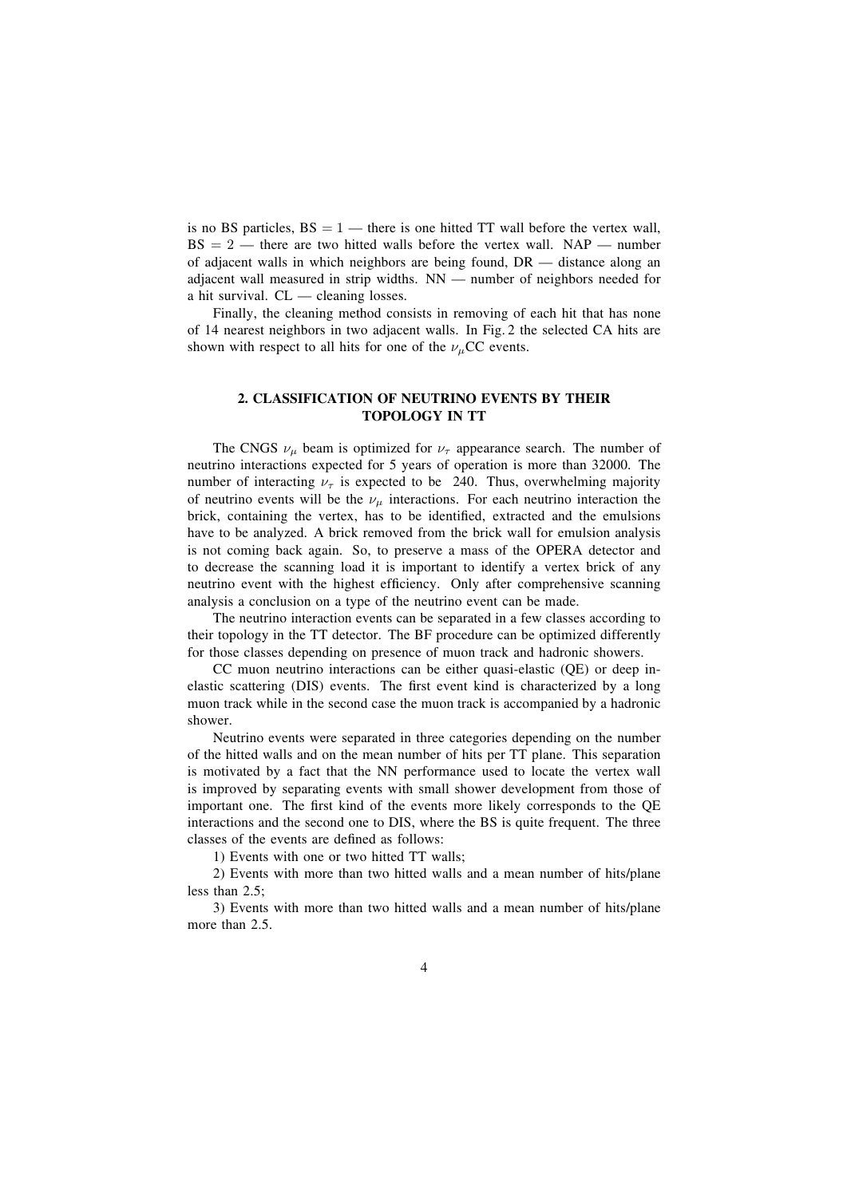is no BS particles,  $BS = 1$  — there is one hitted TT wall before the vertex wall,  $BS = 2$  – there are two hitted walls before the vertex wall. NAP – number of adjacent walls in which neighbors are being found,  $DR$  — distance along an adjacent wall measured in strip widths.  $NN$  — number of neighbors needed for a hit survival.  $CL$   $\rightarrow$  cleaning losses.

Finally, the cleaning method consists in removing of each hit that has none of 14 nearest neighbors in two adjacent walls. In Fig. 2 the selected CA hits are shown with respect to all hits for one of the  $\nu$ <sub>μ</sub>CC events.

## **2. CLASSIFICATION OF NEUTRINO EVENTS BY THEIR TOPOLOGY IN TT**

The CNGS  $\nu_{\mu}$  beam is optimized for  $\nu_{\tau}$  appearance search. The number of neutrino interactions expected for 5 years of operation is more than 32000. The number of interacting  $\nu_{\tau}$  is expected to be 240. Thus, overwhelming majority of neutrino events will be the  $\nu_{\mu}$  interactions. For each neutrino interaction the brick, containing the vertex, has to be identified, extracted and the emulsions have to be analyzed. A brick removed from the brick wall for emulsion analysis is not coming back again. So, to preserve a mass of the OPERA detector and to decrease the scanning load it is important to identify a vertex brick of any neutrino event with the highest efficiency. Only after comprehensive scanning analysis a conclusion on a type of the neutrino event can be made.

The neutrino interaction events can be separated in a few classes according to their topology in the TT detector. The BF procedure can be optimized differently for those classes depending on presence of muon track and hadronic showers.

CC muon neutrino interactions can be either quasi-elastic (QE) or deep inelastic scattering (DIS) events. The first event kind is characterized by a long muon track while in the second case the muon track is accompanied by a hadronic shower.

Neutrino events were separated in three categories depending on the number of the hitted walls and on the mean number of hits per TT plane. This separation is motivated by a fact that the NN performance used to locate the vertex wall is improved by separating events with small shower development from those of important one. The first kind of the events more likely corresponds to the OE interactions and the second one to DIS, where the BS is quite frequent. The three classes of the events are defined as follows:

1) Events with one or two hitted TT walls;

2) Events with more than two hitted walls and a mean number of hits/plane less than 2.5;

3) Events with more than two hitted walls and a mean number of hits/plane more than 2.5.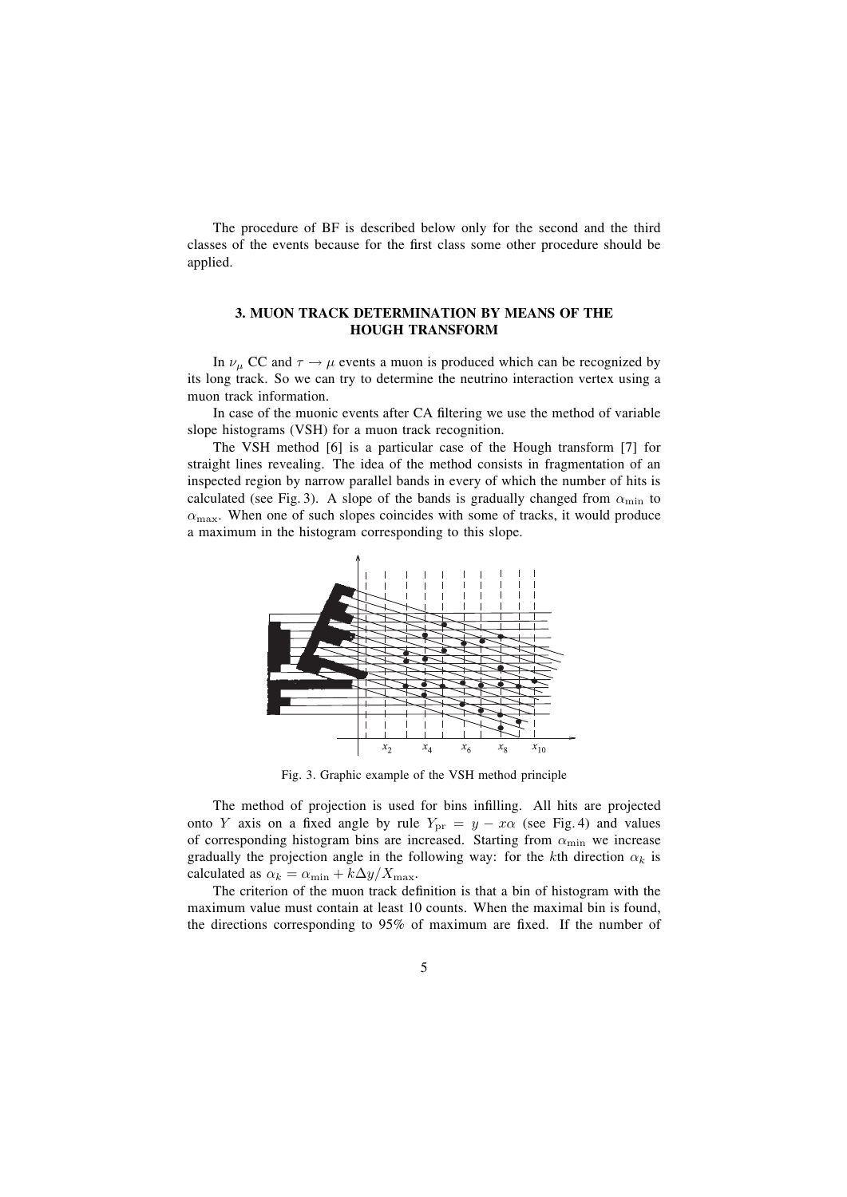The procedure of BF is described below only for the second and the third classes of the events because for the first class some other procedure should be applied.

## **3. MUON TRACK DETERMINATION BY MEANS OF THE HOUGH TRANSFORM**

In  $\nu_{\mu}$  CC and  $\tau \rightarrow \mu$  events a muon is produced which can be recognized by its long track. So we can try to determine the neutrino interaction vertex using a muon track information.

In case of the muonic events after CA filtering we use the method of variable slope histograms (VSH) for a muon track recognition.

The VSH method [6] is a particular case of the Hough transform [7] for straight lines revealing. The idea of the method consists in fragmentation of an inspected region by narrow parallel bands in every of which the number of hits is calculated (see Fig. 3). A slope of the bands is gradually changed from  $\alpha_{\min}$  to  $\alpha_{\text{max}}$ . When one of such slopes coincides with some of tracks, it would produce a maximum in the histogram corresponding to this slope.



Fig. 3. Graphic example of the VSH method principle

The method of projection is used for bins infilling. All hits are projected onto Y axis on a fixed angle by rule  $Y_{pr} = y - x\alpha$  (see Fig. 4) and values of corresponding histogram bins are increased. Starting from  $\alpha_{\min}$  we increase gradually the projection angle in the following way: for the kth direction  $\alpha_k$  is calculated as  $\alpha_k = \alpha_{\min} + k\Delta y/X_{\max}$ .

The criterion of the muon track definition is that a bin of histogram with the maximum value must contain at least 10 counts. When the maximal bin is found, the directions corresponding to  $95\%$  of maximum are fixed. If the number of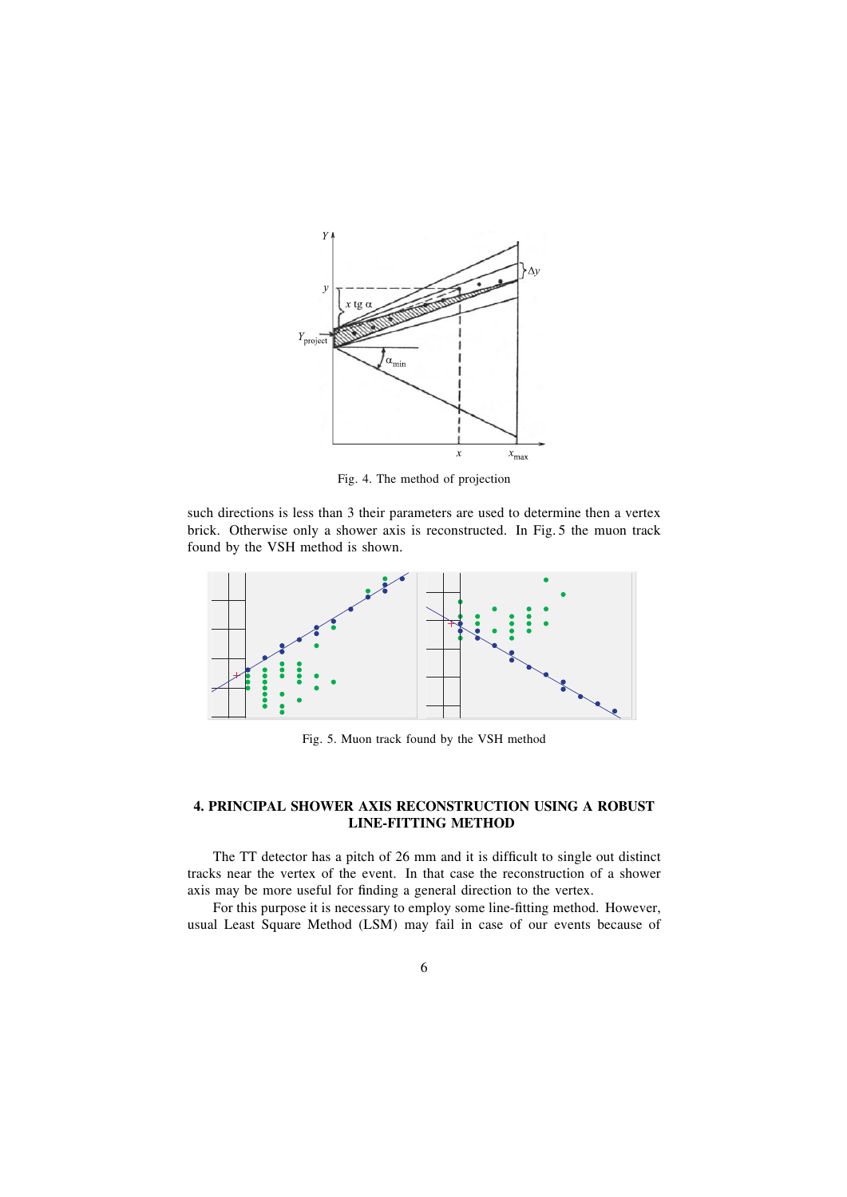

Fig. 4. The method of projection

such directions is less than 3 their parameters are used to determine then a vertex brick. Otherwise only a shower axis is reconstructed. In Fig. 5 the muon track found by the VSH method is shown.



Fig. 5. Muon track found by the VSH method

# **4. PRINCIPAL SHOWER AXIS RECONSTRUCTION USING A ROBUST LINE-FITTING METHOD**

The TT detector has a pitch of  $26 \text{ mm}$  and it is difficult to single out distinct tracks near the vertex of the event. In that case the reconstruction of a shower axis may be more useful for finding a general direction to the vertex.

For this purpose it is necessary to employ some line-fitting method. However, usual Least Square Method (LSM) may fail in case of our events because of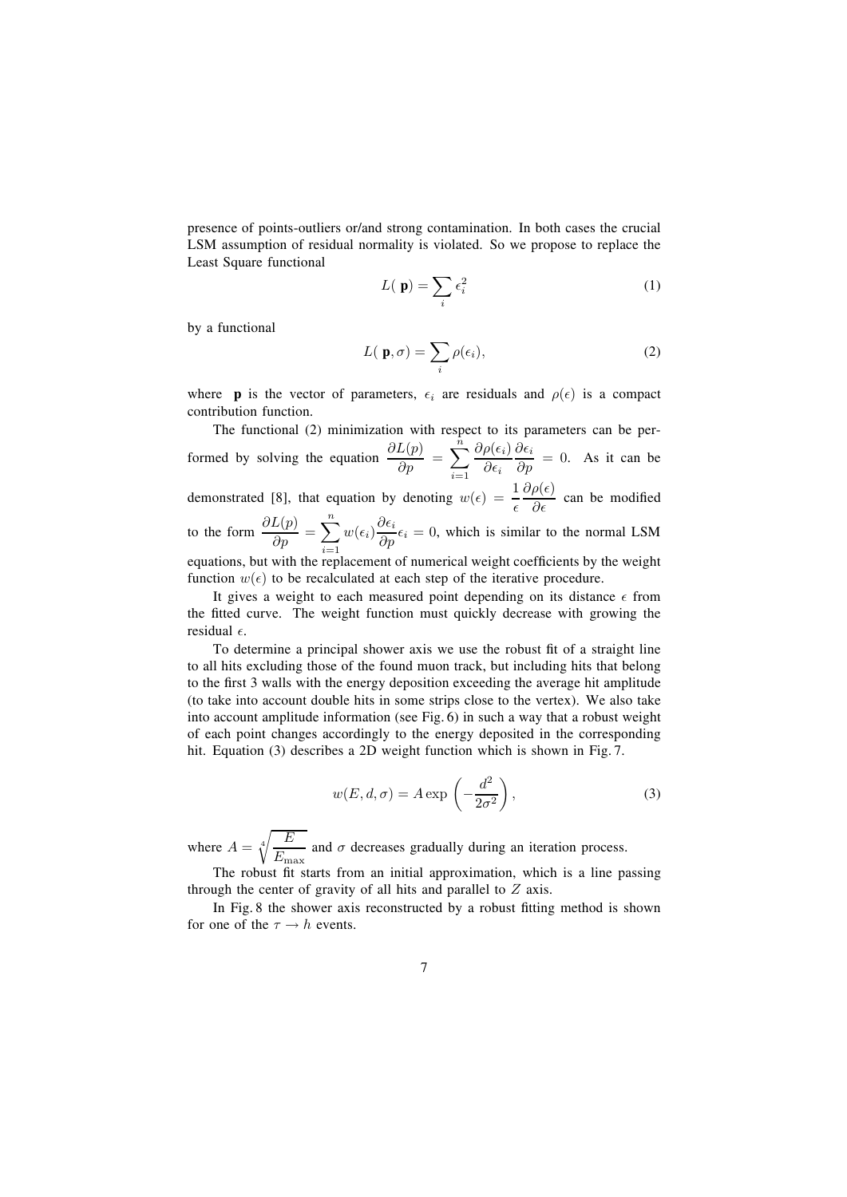presence of points-outliers or/and strong contamination. In both cases the crucial LSM assumption of residual normality is violated. So we propose to replace the Least Square functional

$$
L(\mathbf{p}) = \sum_{i} \epsilon_i^2 \tag{1}
$$

by a functional

$$
L(\mathbf{p}, \sigma) = \sum_{i} \rho(\epsilon_i), \tag{2}
$$

where **p** is the vector of parameters,  $\epsilon_i$  are residuals and  $\rho(\epsilon)$  is a compact contribution function.

The functional (2) minimization with respect to its parameters can be performed by solving the equation  $\frac{\partial L(p)}{\partial p} = \sum_{n=1}^{\infty}$  $\tilde{n}$  $i=1$  $\partial \rho(\epsilon_i)$  $\partial \epsilon_i$  $\frac{\partial \epsilon_i}{\partial p} = 0$ . As it can be demonstrated [8], that equation by denoting  $w(\epsilon) = \frac{1}{\epsilon}$  $\frac{\partial \rho(\epsilon)}{\partial \epsilon}$  can be modified to the form  $\frac{\partial L(p)}{\partial p} = \sum_{i=1}^{n}$ n  $i=1$  $w(\epsilon_i) \frac{\partial \epsilon_i}{\partial p} \epsilon_i = 0$ , which is similar to the normal LSM equations, but with the replacement of numerical weight coefficients by the weight function  $w(\epsilon)$  to be recalculated at each step of the iterative procedure.

It gives a weight to each measured point depending on its distance  $\epsilon$  from the fitted curve. The weight function must quickly decrease with growing the residual  $\epsilon$ .

To determine a principal shower axis we use the robust fit of a straight line to all hits excluding those of the found muon track, but including hits that belong to the first 3 walls with the energy deposition exceeding the average hit amplitude (to take into account double hits in some strips close to the vertex). We also take into account amplitude information (see Fig. 6) in such a way that a robust weight of each point changes accordingly to the energy deposited in the corresponding hit. Equation (3) describes a 2D weight function which is shown in Fig. 7.

$$
w(E, d, \sigma) = A \exp\left(-\frac{d^2}{2\sigma^2}\right),\tag{3}
$$

where  $A = \sqrt[4]{\frac{E}{E}}$  $\frac{E_{\text{max}}}{E_{\text{max}}}$  and  $\sigma$  decreases gradually during an iteration process.

The robust fit starts from an initial approximation, which is a line passing through the center of gravity of all hits and parallel to  $Z$  axis.

In Fig. 8 the shower axis reconstructed by a robust fitting method is shown for one of the  $\tau \rightarrow h$  events.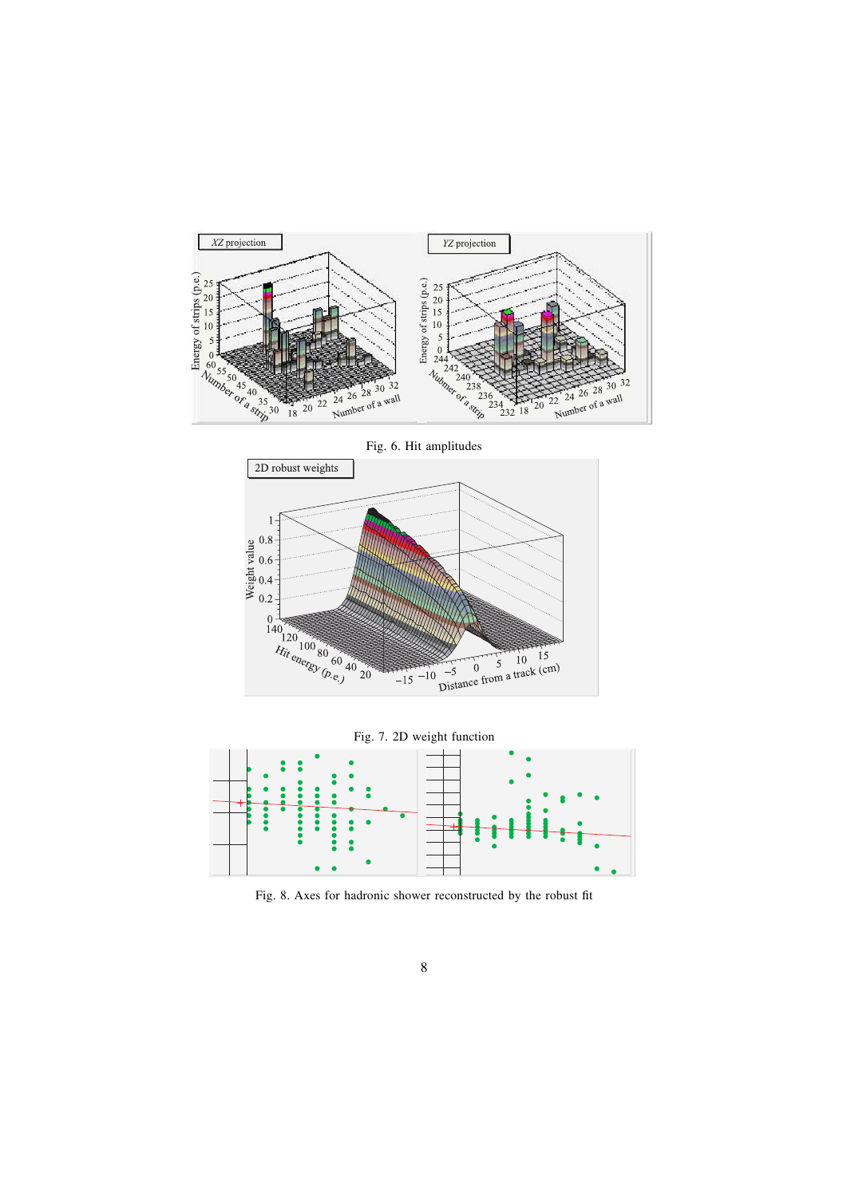

Fig. 6. Hit amplitudes 2D robust weights  $\frac{9}{2}$ <br> $\frac{1}{2}$ <br> $\frac{1}{2}$ <br> $\frac{1}{2}$ <br> $\frac{1}{2}$ <br> $\frac{1}{2}$ <br> $\frac{1}{2}$ <br> $\frac{1}{2}$ <br><br> $\frac{1}{2}$ <br><br><br><br><br><br><br><br><br><br><br><br><br><br><br><br><br><br>  $0.2$  $\begin{array}{c}\n140 \\
140 \\
120 \\
Rii \\
\text{ch} \left(\frac{100}{20} \, \text{so} \, \text{cm}\right) \\
\text{d} \left(\frac{100}{20} \, \text{cm}\right) \\
\text{d} \left(\frac{1}{20} \, \text{cm}\right) \\
\text{d} \left(\frac{1}{20} \, \text{cm}\right) \\
\text{d} \left(\frac{1}{20} \, \text{cm}\right) \\
\text{d} \left(\frac{1}{20} \, \text{cm}\right) \\
\text{d} \left(\frac{1}{20} \, \text{cm}\right) \\
\text{d} \left(\frac{1$  $\frac{1}{2}$ <br>  $\frac{1}{2}$ <br>  $\frac{1}{2}$ <br>  $\frac{1}{2}$ <br>  $\frac{1}{2}$ <br>  $\frac{1}{2}$ <br>  $\frac{1}{2}$ <br>  $\frac{1}{2}$ <br>  $\frac{1}{2}$ <br>  $\frac{1}{2}$ <br>  $\frac{1}{2}$ <br>  $\frac{1}{2}$ <br>  $\frac{1}{2}$ <br>  $\frac{1}{2}$ <br>  $\frac{1}{2}$ <br>  $\frac{1}{2}$ <br>  $\frac{1}{2}$ <br>  $\frac{1}{2}$ <br>  $\frac{1}{2}$ <br>  $\frac{1}{2}$ <br>  $-10$  $-15$ 



Fig. 8. Axes for hadronic shower reconstructed by the robust fit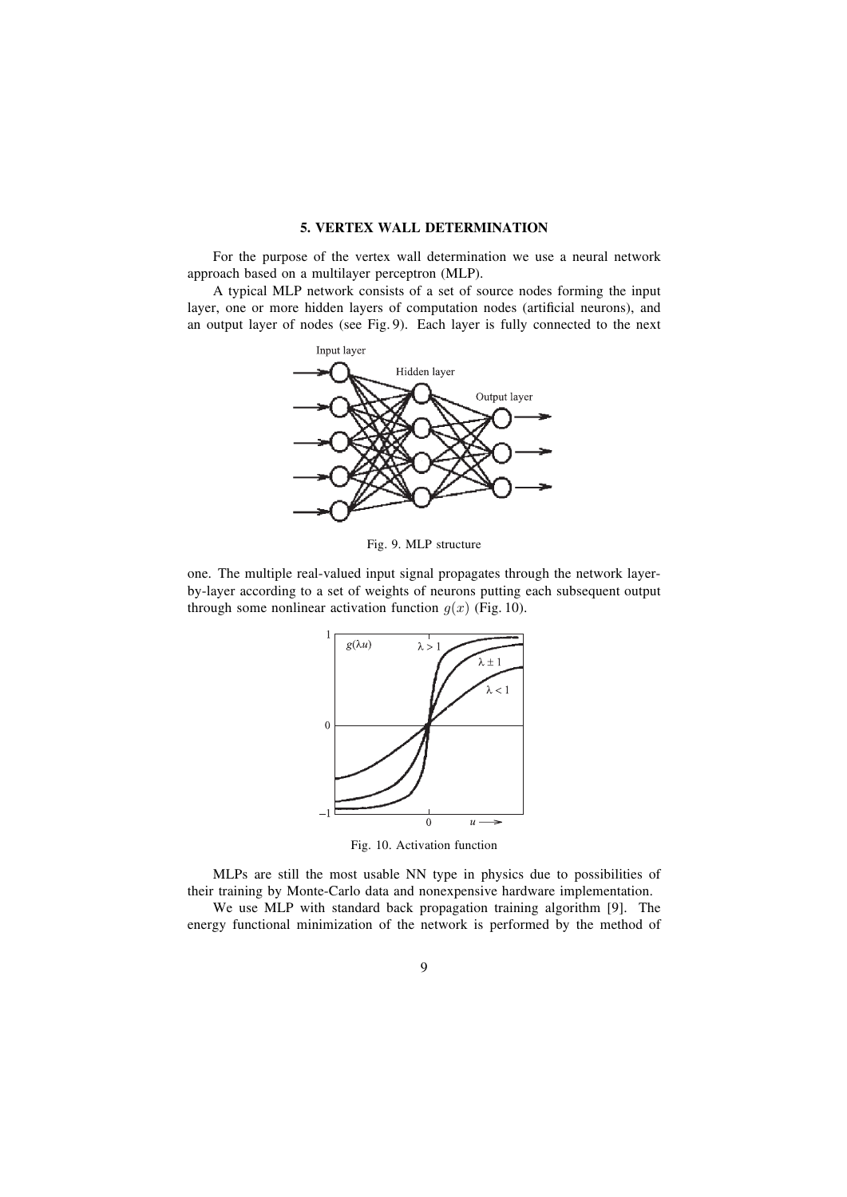#### **5. VERTEX WALL DETERMINATION**

For the purpose of the vertex wall determination we use a neural network approach based on a multilayer perceptron (MLP).

A typical MLP network consists of a set of source nodes forming the input layer, one or more hidden layers of computation nodes (artificial neurons), and an output layer of nodes (see Fig. 9). Each layer is fully connected to the next



Fig. 9. MLP structure

one. The multiple real-valued input signal propagates through the network layerby-layer according to a set of weights of neurons putting each subsequent output through some nonlinear activation function  $g(x)$  (Fig. 10).



Fig. 10. Activation function

MLPs are still the most usable NN type in physics due to possibilities of their training by Monte-Carlo data and nonexpensive hardware implementation.

We use MLP with standard back propagation training algorithm [9]. The energy functional minimization of the network is performed by the method of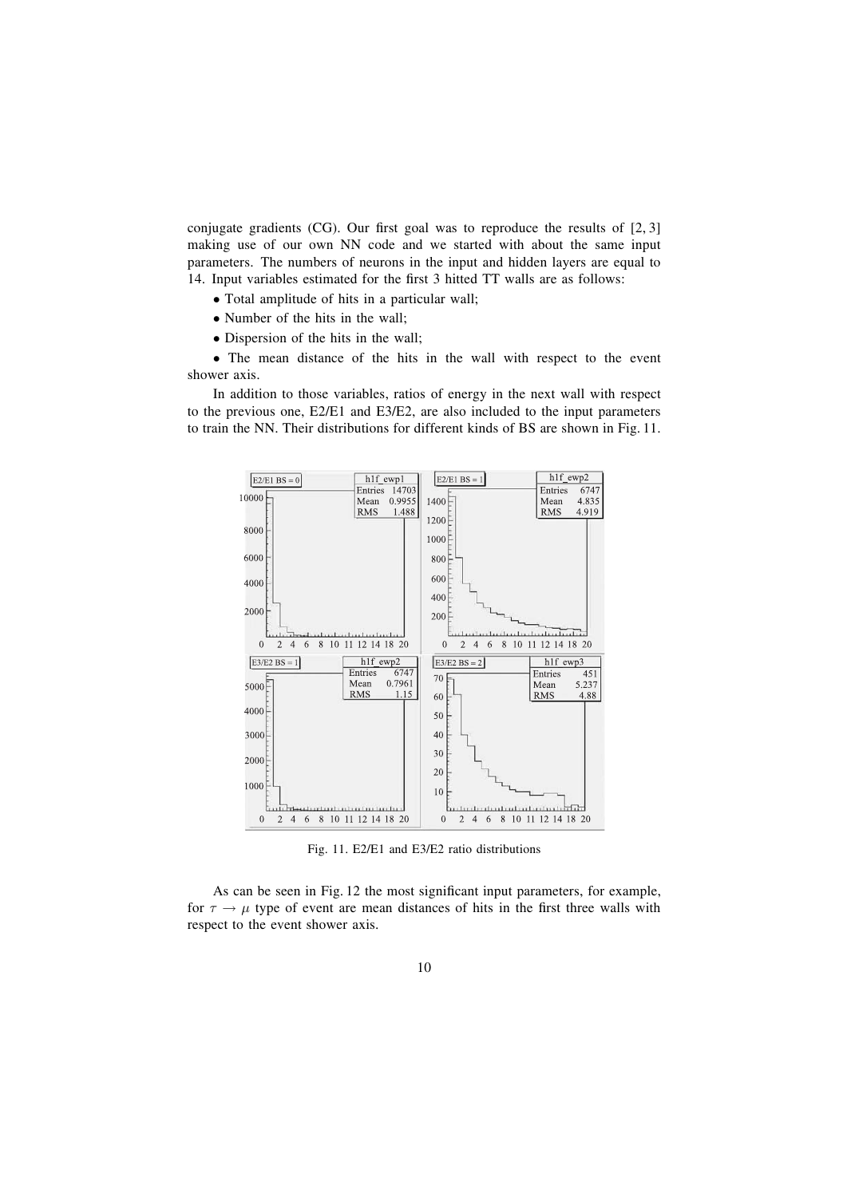conjugate gradients (CG). Our first goal was to reproduce the results of  $[2, 3]$ making use of our own NN code and we started with about the same input parameters. The numbers of neurons in the input and hidden layers are equal to 14. Input variables estimated for the first 3 hitted TT walls are as follows:

- Total amplitude of hits in a particular wall;
- Number of the hits in the wall;
- Dispersion of the hits in the wall;

• The mean distance of the hits in the wall with respect to the event shower axis.

In addition to those variables, ratios of energy in the next wall with respect to the previous one, E2/E1 and E3/E2, are also included to the input parameters to train the NN. Their distributions for different kinds of BS are shown in Fig. 11.



Fig. 11. E2/E1 and E3/E2 ratio distributions

As can be seen in Fig. 12 the most significant input parameters, for example, for  $\tau \rightarrow \mu$  type of event are mean distances of hits in the first three walls with respect to the event shower axis.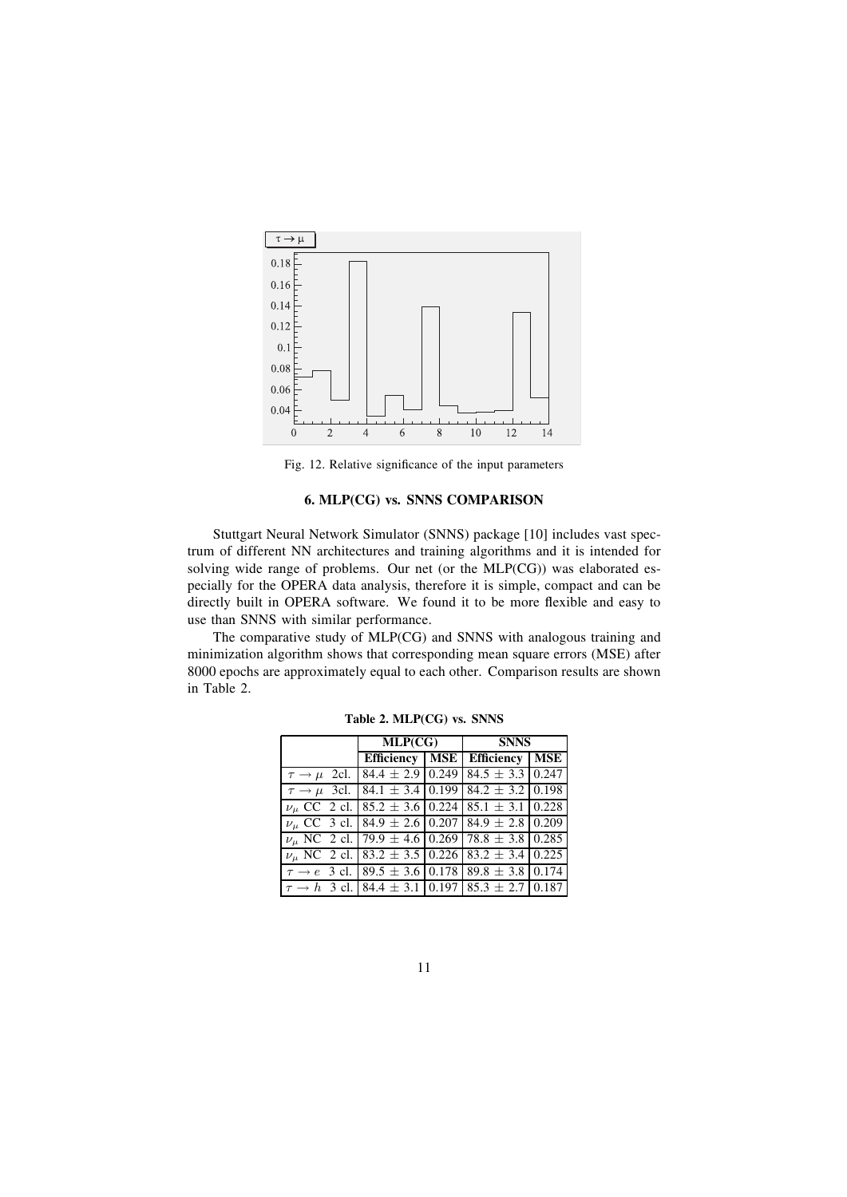

Fig. 12. Relative significance of the input parameters

# **6. MLP(CG) vs. SNNS COMPARISON**

Stuttgart Neural Network Simulator (SNNS) package [10] includes vast spectrum of different NN architectures and training algorithms and it is intended for solving wide range of problems. Our net (or the MLP(CG)) was elaborated especially for the OPERA data analysis, therefore it is simple, compact and can be directly built in OPERA software. We found it to be more flexible and easy to use than SNNS with similar performance.

The comparative study of MLP(CG) and SNNS with analogous training and minimization algorithm shows that corresponding mean square errors (MSE) after 8000 epochs are approximately equal to each other. Comparison results are shown in Table 2.

|                                                              | MLP(CG) |  | <b>SNNS</b>                                            |     |
|--------------------------------------------------------------|---------|--|--------------------------------------------------------|-----|
|                                                              |         |  | Efficiency   MSE   Efficiency                          | MSE |
| $\tau \rightarrow \mu$ 2cl.                                  |         |  | $84.4 \pm 2.9$ 0.249 84.5 $\pm$ 3.3 0.247              |     |
| $\tau \rightarrow \mu$ 3cl.                                  |         |  | $84.1 \pm 3.4 \mid 0.199 \mid 84.2 \pm 3.2 \mid 0.198$ |     |
| $\nu_{\mu}$ CC 2 cl.                                         |         |  | $85.2 \pm 3.6 \mid 0.224 \mid 85.1 \pm 3.1 \mid 0.228$ |     |
| $\nu_{\mu}$ CC 3 cl. 84.9 ± 2.6 0.207 84.9 ± 2.8 0.209       |         |  |                                                        |     |
| $\nu_{\mu}$ NC 2 cl. 79.9 ± 4.6 0.269 78.8 ± 3.8 0.285       |         |  |                                                        |     |
| $\nu_{\mu}$ NC 2 cl. 83.2 ± 3.5 0.226 83.2 ± 3.4 0.225       |         |  |                                                        |     |
| $\tau \rightarrow e$ 3 cl. 89.5 ± 3.6 0.178 89.8 ± 3.8 0.174 |         |  |                                                        |     |
| $\tau \rightarrow h$ 3 cl. 84.4 ± 3.1 0.197 85.3 ± 2.7 0.187 |         |  |                                                        |     |

**Table 2. MLP(CG) vs. SNNS**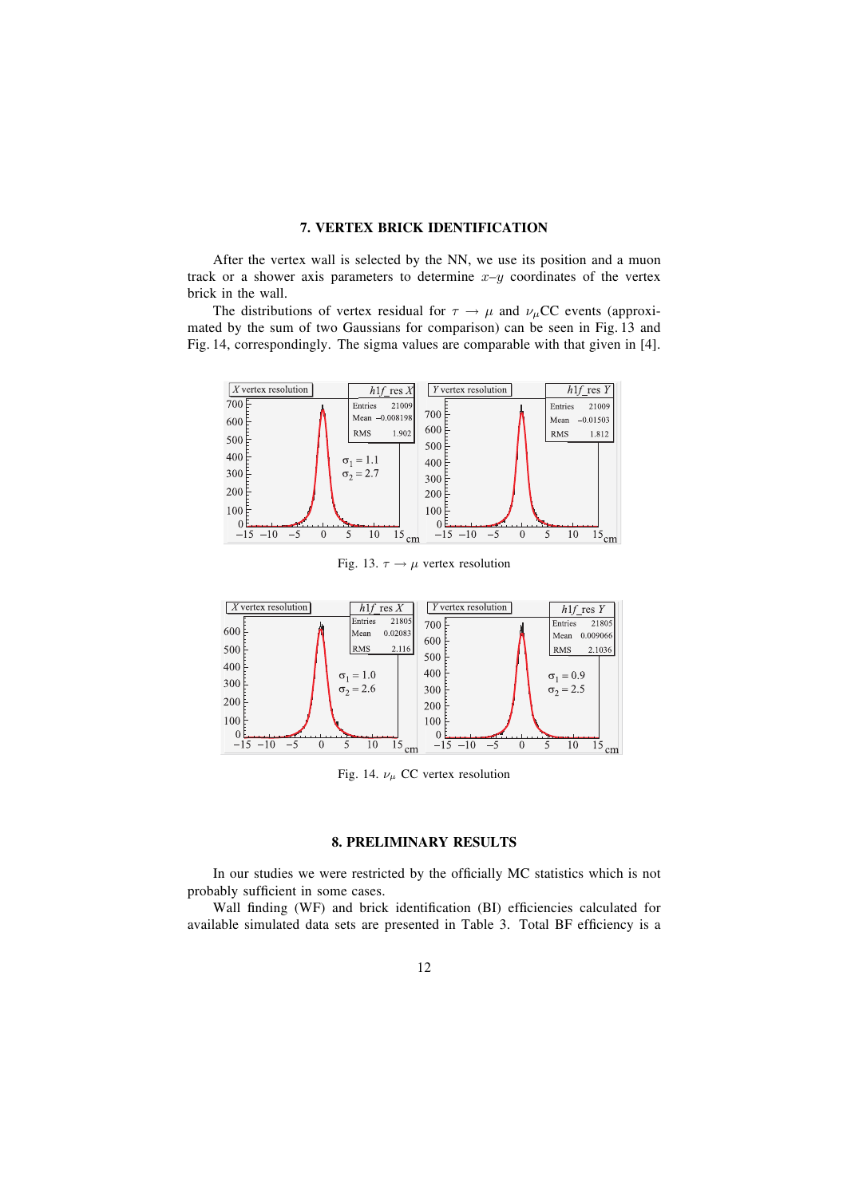## **7. VERTEX BRICK IDENTIFICATION**

After the vertex wall is selected by the NN, we use its position and a muon track or a shower axis parameters to determine  $x-y$  coordinates of the vertex brick in the wall.

The distributions of vertex residual for  $\tau \to \mu$  and  $\nu_{\mu}$ CC events (approximated by the sum of two Gaussians for comparison) can be seen in Fig. 13 and Fig. 14, correspondingly. The sigma values are comparable with that given in [4].



Fig. 13.  $\tau \rightarrow \mu$  vertex resolution



Fig. 14.  $\nu_{\mu}$  CC vertex resolution

## **8. PRELIMINARY RESULTS**

In our studies we were restricted by the officially MC statistics which is not probably sufficient in some cases.

Wall finding (WF) and brick identification (BI) efficiencies calculated for available simulated data sets are presented in Table 3. Total BF efficiency is a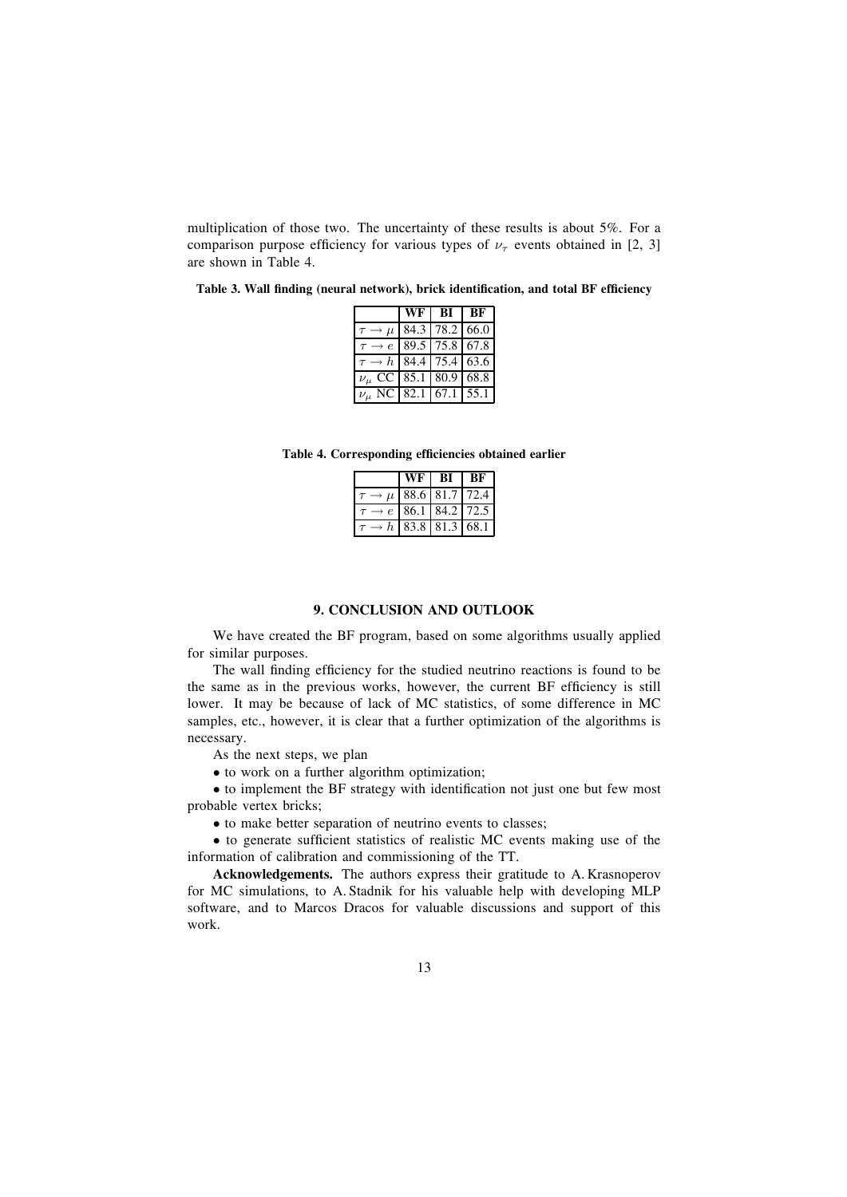multiplication of those two. The uncertainty of these results is about 5%. For a comparison purpose efficiency for various types of  $\nu_{\tau}$  events obtained in [2, 3] are shown in Table 4.

Table 3. Wall finding (neural network), brick identification, and total BF efficiency

|                                     | WF                                   | -BI - | - BF |
|-------------------------------------|--------------------------------------|-------|------|
|                                     | $\mu$ 84.3 78.2 66.0                 |       |      |
|                                     | $\rightarrow e$ 89.5 75.8 67.8       |       |      |
|                                     | $\rightarrow h$   84.4   75.4   63.6 |       |      |
| $\nu_{\mu}$ CC 85.1 80.9 68.8       |                                      |       |      |
| $\nu_{\mu}$ NC   82.1   67.1   55.1 |                                      |       |      |

Table 4. Corresponding efficiencies obtained earlier

| Wн |                            | RК |
|----|----------------------------|----|
|    | $\mu$   88.6   81.7   72.4 |    |
|    | $e$   86.1   84.2   72.5   |    |
|    | $h$   83.8   81.3   68.1   |    |

#### **9. CONCLUSION AND OUTLOOK**

We have created the BF program, based on some algorithms usually applied for similar purposes.

The wall finding efficiency for the studied neutrino reactions is found to be the same as in the previous works, however, the current BF efficiency is still lower. It may be because of lack of MC statistics, of some difference in MC samples, etc., however, it is clear that a further optimization of the algorithms is necessary.

As the next steps, we plan

• to work on a further algorithm optimization;

• to implement the BF strategy with identification not just one but few most probable vertex bricks;

• to make better separation of neutrino events to classes;

 $\bullet$  to generate sufficient statistics of realistic MC events making use of the information of calibration and commissioning of the TT.

**Acknowledgements.** The authors express their gratitude to A. Krasnoperov for MC simulations, to A. Stadnik for his valuable help with developing MLP software, and to Marcos Dracos for valuable discussions and support of this work.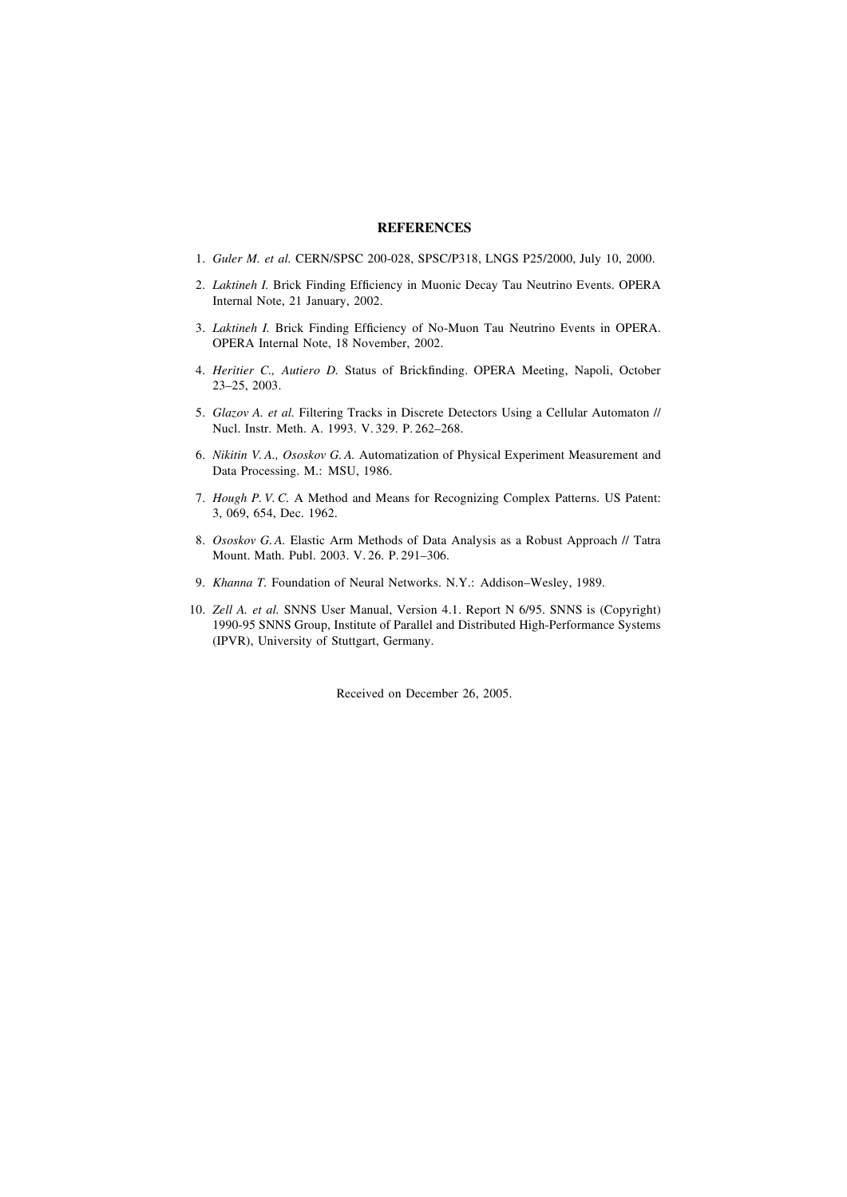## **REFERENCES**

- 1. *Guler M. et al.* CERN/SPSC 200-028, SPSC/P318, LNGS P25/2000, July 10, 2000.
- 2. *Laktineh I.* Brick Finding Efficiency in Muonic Decay Tau Neutrino Events. OPERA Internal Note, 21 January, 2002.
- 3. *Laktineh I.* Brick Finding Efficiency of No-Muon Tau Neutrino Events in OPERA. OPERA Internal Note, 18 November, 2002.
- 4. *Heritier C., Autiero D.* Status of Brickfinding. OPERA Meeting, Napoli, October 23-25, 2003.
- 5. *Glazov A. et al.* Filtering Tracks in Discrete Detectors Using a Cellular Automaton // Nucl. Instr. Meth. A. 1993. V. 329. P. 262-268.
- 6. *Nikitin V. A., Ososkov G. A.* Automatization of Physical Experiment Measurement and Data Processing. M.: MSU, 1986.
- 7. *Hough P. V. C.* A Method and Means for Recognizing Complex Patterns. US Patent: 3, 069, 654, Dec. 1962.
- 8. *Ososkov G. A.* Elastic Arm Methods of Data Analysis as a Robust Approach // Tatra Mount. Math. Publ. 2003. V. 26. P. 291-306.
- 9. *Khanna T.* Foundation of Neural Networks. N.Y.: Addison-Wesley, 1989.
- 10. *Zell A. et al.* SNNS User Manual, Version 4.1. Report N 6/95. SNNS is (Copyright) 1990-95 SNNS Group, Institute of Parallel and Distributed High-Performance Systems (IPVR), University of Stuttgart, Germany.

Received on December 26, 2005.